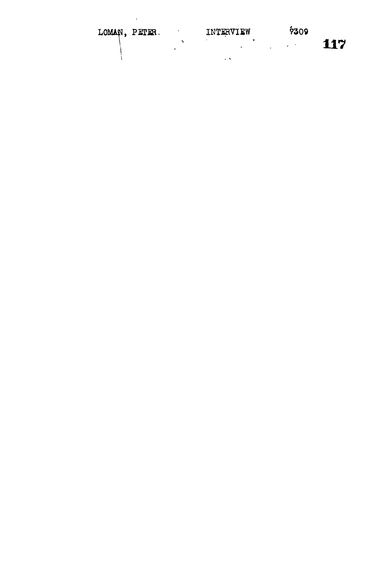| $\epsilon$<br>LOMAN, PETER. | INTERVIEW   | 7309 |     |
|-----------------------------|-------------|------|-----|
|                             | ٠<br>$\sim$ | ٠    | 117 |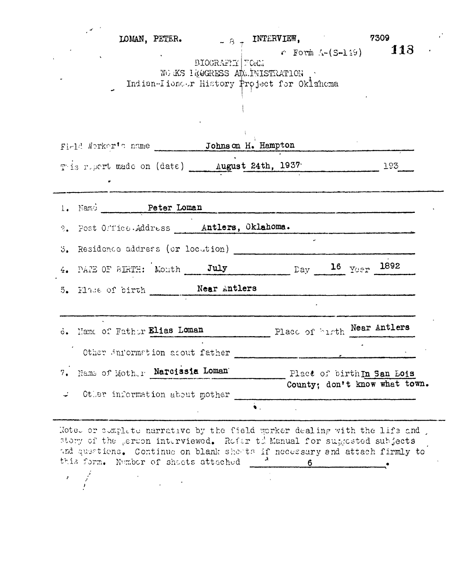|                                                                                                                                                                                                                                | BIOGRAFIY FORM<br>WO KS LEOGRESS ADMINISTRATION .<br>Indian-Iioneer History Project for Oklahoma | LOMAN, PETER. $\overline{B} + \overline{INTERVIEW}$ , 7309 | $\sim$ 6 Form $\Lambda$ -(S-119) 118 |  |
|--------------------------------------------------------------------------------------------------------------------------------------------------------------------------------------------------------------------------------|--------------------------------------------------------------------------------------------------|------------------------------------------------------------|--------------------------------------|--|
| Firld Norker's name _________ Johnson H. Hampton                                                                                                                                                                               |                                                                                                  |                                                            |                                      |  |
| This report made on (date) _____ August 24th, 1937. 1937. 193                                                                                                                                                                  |                                                                                                  |                                                            |                                      |  |
| 1. Namo Peter Loman entrancement and the material contract of the Manuscripture of the Manuscripture of the Manuscripture of the Manuscripture of the Manuscripture of the Manuscripture of the Manuscripture of the Manuscrip |                                                                                                  |                                                            |                                      |  |
| 2. Post Office Address Matlers, Oklahoma.                                                                                                                                                                                      |                                                                                                  |                                                            |                                      |  |
| $3.$ Residence address (or locution)                                                                                                                                                                                           |                                                                                                  |                                                            |                                      |  |
| 4. PAPE OF BIRTH: Month July Day 16 Year 1892                                                                                                                                                                                  |                                                                                                  |                                                            |                                      |  |
| 5. Have of birth ______ Near Antlers                                                                                                                                                                                           |                                                                                                  |                                                            |                                      |  |
| 6. Hame of Father Elias Loman                                                                                                                                                                                                  |                                                                                                  | Place of burth Near Antlers                                |                                      |  |
| Other information acout father                                                                                                                                                                                                 |                                                                                                  |                                                            |                                      |  |
| Name of Mother Narcissia Loman<br>7.                                                                                                                                                                                           |                                                                                                  | Place of birth In San Lois                                 |                                      |  |
| Other information about mother                                                                                                                                                                                                 | $\bullet$ .                                                                                      |                                                            | County: don't know what town.        |  |

story of the person interviewed. Refer to Manual for supposted subjects and questions. Continue on blank sheats if necessary and attach firmly to this form. Number of sheets attached 6

 $\hat{\textbf{z}}$ 

 $\hat{E}$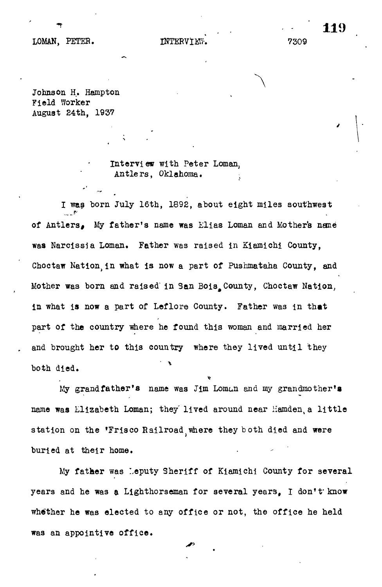## LOMAN, PETER. **INTERVIEW.** 2309

**" 119**

Johnson H. Hampton Field Worker August 24th, 1937

> Interview with Peter Loman, Antle rs, Oklahoma.

I was born July 16th, 1892, about eight miles southwest ...  $\mathcal{F}$ of Antlers, My father's name was Elias Loman and Mothers nane was Narcissim Loman. Father was raised in Kiamichi County, was raised in Kiamichi County, was raised in Kiamich Choctaw Nation,in what is now a part of Pushmataha County, and Mother was born and raised" in San Bois^County, Choctaw Nation, in what is now a part of Leflore County. Father was m that part of the country where he found this woman and married her and brought her to this country where they lived until they both died.

My grandfather's name was Jim Loman and my grandmother's name was Elizabeth Loman; they lived around near Hamden, a little station on the 'Frisco Railroad where they both died and were buried at their home.

My father was Leputy Sheriff of Kiamichi County for several years and he was a Lighthorseman for several years, I don't'know whether he was elected to any office or not, the office he held was an appointive office.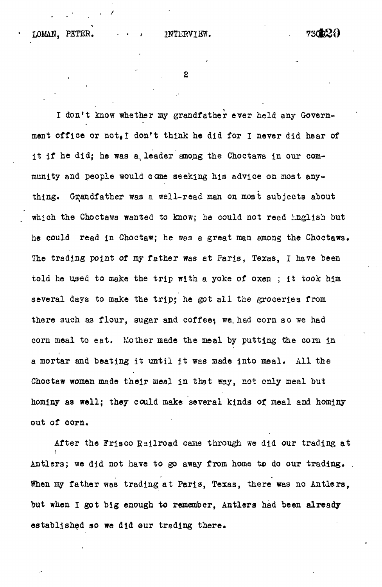I don't know whether my grandfather ever held any Government office or not.I don't think he did for I never did hear of it if he did; he was a leader among the Choctaws in our community and people would cone seeking his advice on most anything. Grandfather was a well-read man on moat subjects about which the Choctawa wanted to know; he could not read Lnglish but he could read in Choctaw; he was a great man among the Choctaws. The trading point of my father was at Paris, Texas, I have been told he used to make the trip with a yoke of oxen ; it took him several days to make the trip; he got all the groceries from there such as flour, sugar and coffee; we had corn so we had corn meal to eat. Mother made the meal by putting the corn in a mortar and beating it until it was made into meal. All the Choctaw women made their meal in that way, not only meal but hominy as wall; they could make several kinds of meal and hominy out of corn.

After the Frisco Railroad came through we did our trading at **i** Antlers; we did not have to go away from home to do our trading. . When my father was trading at Paris, Texas, there was no Antlers, but when I got big enough to remember, Antlers had been already established so we did our trading there.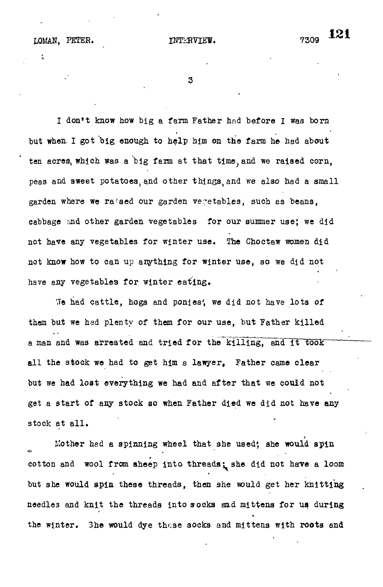I don't know how big a farm Father had before I was born but when I got big enough to help him on the farm he had about ten acres, which was a big farm at that time, and we raised corn, peas and sweet potatoes, and other things, and we also had a small garden where we raised our garden vegetables, such as beans, cabbage and other garden vegetables for our summer use; we did not have any vegetables for winter use. The Choctaw women did not know how to can up anything for winter use, so we did not have any vegetables for winter eating.

We had cattle, hogs and ponies', we did not have lots of them but we had plenty of them for our use, but Father killed a man and was arrested and tried for the killing, and it took all the stock we had to get him a lawyer. Father came clear but we had lost everything we had and after that we could not get a start of any stock so when Father died we did not have any stock at all.

Mother hed a spinning wheel that she used; she would spin cotton and wool from sheep into threads; she did not have a loom but she would spin these threads, then she would get her knitting needles and knit the threads into socks and mittens for us during the winter. She would dye these socks and mittens with roots and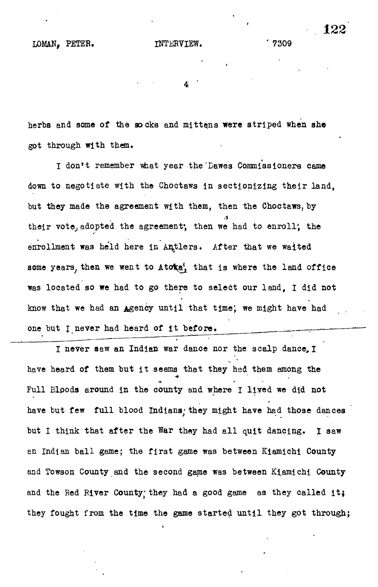herbs and some of the socks and mittens **were** striped when she got through with them.

I don't remember what year the Dawes Commissioners came down to negotiate with the Choctaws in sectionizing their land, but they made the agreement with them, then the Choctaws, by their vote, adopted the agreement; then we had to enroll; the enrollment was held here in Antlers. After that we waited some years, then we went to  $A$ to $\mathbf{\hat{x}}$ <sup>'</sup>, that is where the land office was located so we had to go there to select our land, I did not know that we had an Agency until that time; we might have had one but J never had heard of it before.

I never saw an Indian war dance nor the scalp dance, I have heard of them but it seems that they had them among the Full Bipods around in the county and where I lived we did not have but few full blood Indians, they might have had those dances but I think that after the War they had all quit dancing. I saw an Indian ball game; the first game was between Kiamichi County and Towson County and the second game was between Kiamichi County and the Red River County; they had a good game as they called it; they fought from the time the game started until they got through;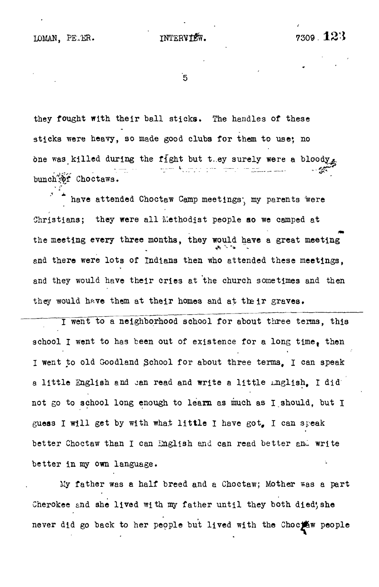์5

they fought with their ball sticks. The handles of these sticks were heavy, so made good clubs for them to use; no one was killed during the fight but t.ey surely were a bloody . .,r - - - - ...... - - ^

have attended Choctaw Camp meetings, my parents were Christians; they were all Methodist people so we camped at the meeting every three months, they would have a great meeting the meeting every three months is the months, there meetings and they would have their cries at the church sometimes and then they would have them at their homes and at their graves.

 $t_1$  would have the matrix  $\mathbf{r}_1$  at the matrix  $\mathbf{r}_2$  and at the set theorem at the intervals of the set of the set of the set of the set of the set of the set of the set of the set of the set of the set of the se I went to a neighborhood school for about three terms, this school I went to has been out of existence for a long time, then I went to old Goodland School for about three terms. I can speak a little English and can read and write a little inglish. I did not go to school long enough to learn as much as I should, but I guess I will get by with what little I have got, I can speak better Choctaw than I can English and can read better and write better in my own language.

My father was a half breed and a Choctaw; Mother was a part Cherokee and she lived with my father until they both died; she never did go back to her people but lived with the Choctow people